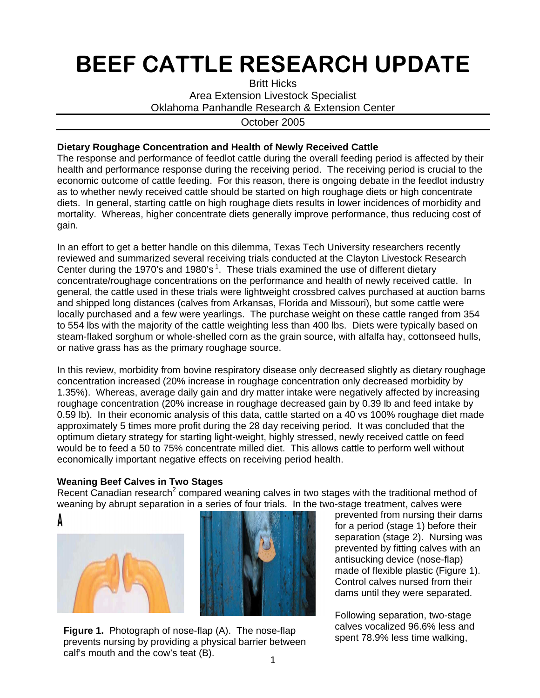## BEEF CATTLE RESEARCH UPDATE

Britt Hicks Area Extension Livestock Specialist Oklahoma Panhandle Research & Extension Center

October 2005

## **Dietary Roughage Concentration and Health of Newly Received Cattle**

The response and performance of feedlot cattle during the overall feeding period is affected by their health and performance response during the receiving period. The receiving period is crucial to the economic outcome of cattle feeding. For this reason, there is ongoing debate in the feedlot industry as to whether newly received cattle should be started on high roughage diets or high concentrate diets. In general, starting cattle on high roughage diets results in lower incidences of morbidity and mortality. Whereas, higher concentrate diets generally improve performance, thus reducing cost of gain.

In an effort to get a better handle on this dilemma, Texas Tech University researchers recently reviewed and summarized several receiving trials conducted at the Clayton Livestock Research Center during the 1970's and 1980's<sup>1</sup>. These trials examined the use of different dietary concentrate/roughage concentrations on the performance and health of newly received cattle. In general, the cattle used in these trials were lightweight crossbred calves purchased at auction barns and shipped long distances (calves from Arkansas, Florida and Missouri), but some cattle were locally purchased and a few were yearlings. The purchase weight on these cattle ranged from 354 to 554 lbs with the majority of the cattle weighting less than 400 lbs. Diets were typically based on steam-flaked sorghum or whole-shelled corn as the grain source, with alfalfa hay, cottonseed hulls, or native grass has as the primary roughage source.

In this review, morbidity from bovine respiratory disease only decreased slightly as dietary roughage concentration increased (20% increase in roughage concentration only decreased morbidity by 1.35%). Whereas, average daily gain and dry matter intake were negatively affected by increasing roughage concentration (20% increase in roughage decreased gain by 0.39 lb and feed intake by 0.59 lb). In their economic analysis of this data, cattle started on a 40 vs 100% roughage diet made approximately 5 times more profit during the 28 day receiving period. It was concluded that the optimum dietary strategy for starting light-weight, highly stressed, newly received cattle on feed would be to feed a 50 to 75% concentrate milled diet. This allows cattle to perform well without economically important negative effects on receiving period health.

## **Weaning Beef Calves in Two Stages**

Recent Canadian research<sup>2</sup> compared weaning calves in two stages with the traditional method of weaning by abrupt separation in a series of four trials. In the two-stage treatment, calves were







Figure 1. Photograph of nose-flap (A). The nose-flap calves vocalized 96.6% less an<br>spent 78.9% less time walking, a photograph of the student of the spent 78.9% less time walking. prevents nursing by providing a physical barrier between calf's mouth and the cow's teat (B).

prevented from nursing their dams for a period (stage 1) before their separation (stage 2). Nursing was prevented by fitting calves with an antisucking device (nose-flap) made of flexible plastic (Figure 1). Control calves nursed from their dams until they were separated.

Following separation, two-stage calves vocalized 96.6% less and